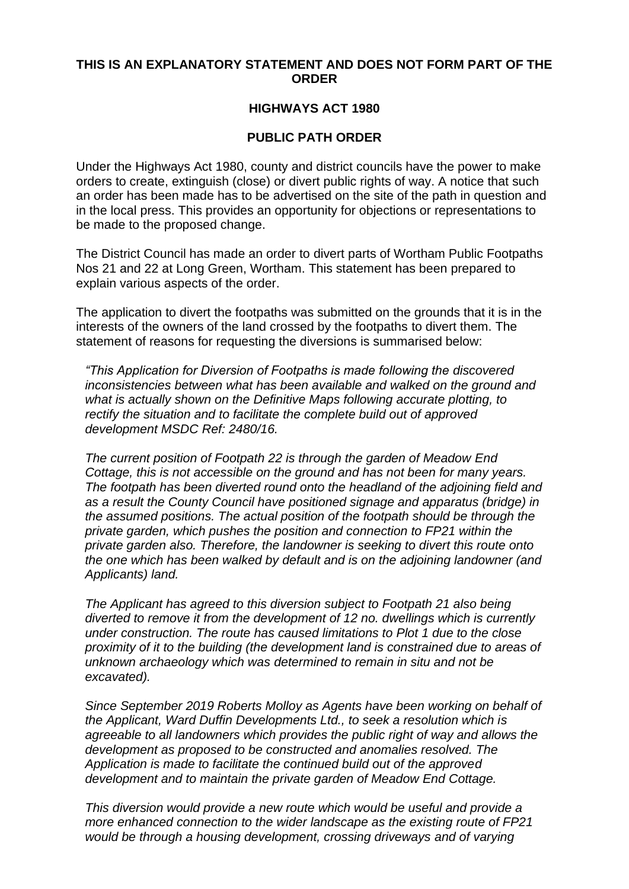## **THIS IS AN EXPLANATORY STATEMENT AND DOES NOT FORM PART OF THE ORDER**

## **HIGHWAYS ACT 1980**

## **PUBLIC PATH ORDER**

Under the Highways Act 1980, county and district councils have the power to make orders to create, extinguish (close) or divert public rights of way. A notice that such an order has been made has to be advertised on the site of the path in question and in the local press. This provides an opportunity for objections or representations to be made to the proposed change.

The District Council has made an order to divert parts of Wortham Public Footpaths Nos 21 and 22 at Long Green, Wortham. This statement has been prepared to explain various aspects of the order.

The application to divert the footpaths was submitted on the grounds that it is in the interests of the owners of the land crossed by the footpaths to divert them. The statement of reasons for requesting the diversions is summarised below:

*"This Application for Diversion of Footpaths is made following the discovered inconsistencies between what has been available and walked on the ground and what is actually shown on the Definitive Maps following accurate plotting, to rectify the situation and to facilitate the complete build out of approved development MSDC Ref: 2480/16.*

*The current position of Footpath 22 is through the garden of Meadow End Cottage, this is not accessible on the ground and has not been for many years. The footpath has been diverted round onto the headland of the adjoining field and as a result the County Council have positioned signage and apparatus (bridge) in the assumed positions. The actual position of the footpath should be through the private garden, which pushes the position and connection to FP21 within the private garden also. Therefore, the landowner is seeking to divert this route onto the one which has been walked by default and is on the adjoining landowner (and Applicants) land.* 

*The Applicant has agreed to this diversion subject to Footpath 21 also being diverted to remove it from the development of 12 no. dwellings which is currently under construction. The route has caused limitations to Plot 1 due to the close proximity of it to the building (the development land is constrained due to areas of unknown archaeology which was determined to remain in situ and not be excavated).* 

*Since September 2019 Roberts Molloy as Agents have been working on behalf of the Applicant, Ward Duffin Developments Ltd., to seek a resolution which is agreeable to all landowners which provides the public right of way and allows the development as proposed to be constructed and anomalies resolved. The Application is made to facilitate the continued build out of the approved development and to maintain the private garden of Meadow End Cottage.*

*This diversion would provide a new route which would be useful and provide a more enhanced connection to the wider landscape as the existing route of FP21 would be through a housing development, crossing driveways and of varying*